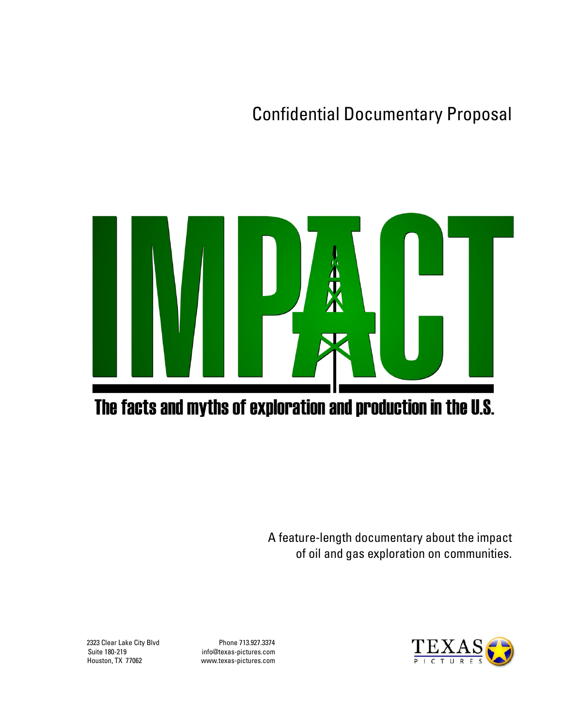Confidential Documentary Proposal



# The facts and myths of exploration and production in the U.S.

A feature-length documentary about the impact of oil and gas exploration on communities.

Suite 180-219 info@texas-pictures.com Houston, TX 77062 www.texas-pictures.com

2323 Clear Lake City Blvd Phone 713.927.3374

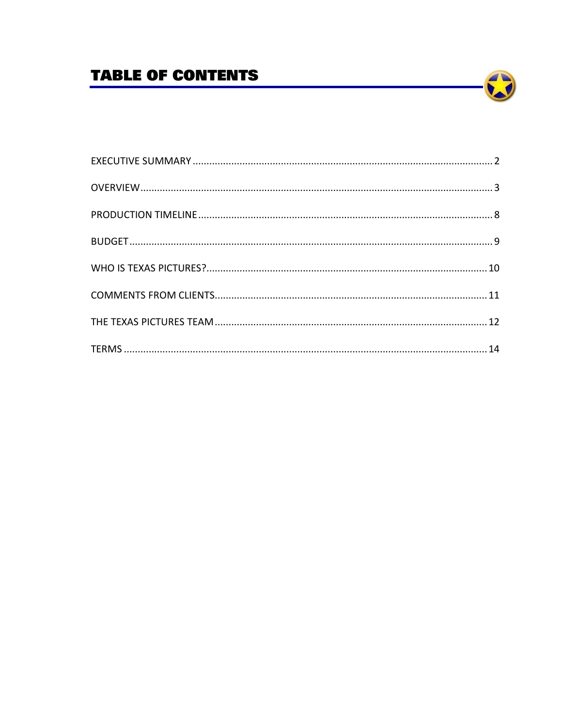# **TABLE OF CONTENTS**

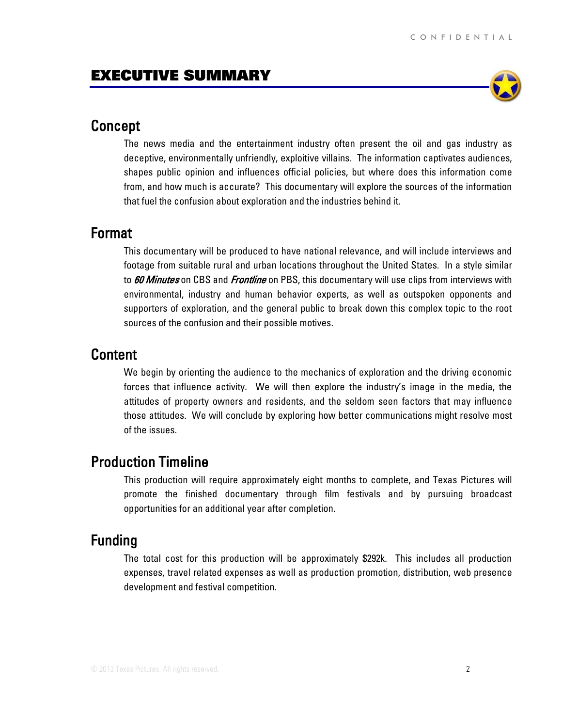

## <span id="page-2-0"></span>Concept

The news media and the entertainment industry often present the oil and gas industry as deceptive, environmentally unfriendly, exploitive villains. The information captivates audiences, shapes public opinion and influences official policies, but where does this information come from, and how much is accurate? This documentary will explore the sources of the information that fuel the confusion about exploration and the industries behind it.

### Format

This documentary will be produced to have national relevance, and will include interviews and footage from suitable rural and urban locations throughout the United States. In a style similar to *60 Minutes* on CBS and *Frontline* on PBS, this documentary will use clips from interviews with environmental, industry and human behavior experts, as well as outspoken opponents and supporters of exploration, and the general public to break down this complex topic to the root sources of the confusion and their possible motives.

### Content

We begin by orienting the audience to the mechanics of exploration and the driving economic forces that influence activity. We will then explore the industry's image in the media, the attitudes of property owners and residents, and the seldom seen factors that may influence those attitudes. We will conclude by exploring how better communications might resolve most of the issues.

# Production Timeline

This production will require approximately eight months to complete, and Texas Pictures will promote the finished documentary through film festivals and by pursuing broadcast opportunities for an additional year after completion.

# Funding

The total cost for this production will be approximately \$292k. This includes all production expenses, travel related expenses as well as production promotion, distribution, web presence development and festival competition.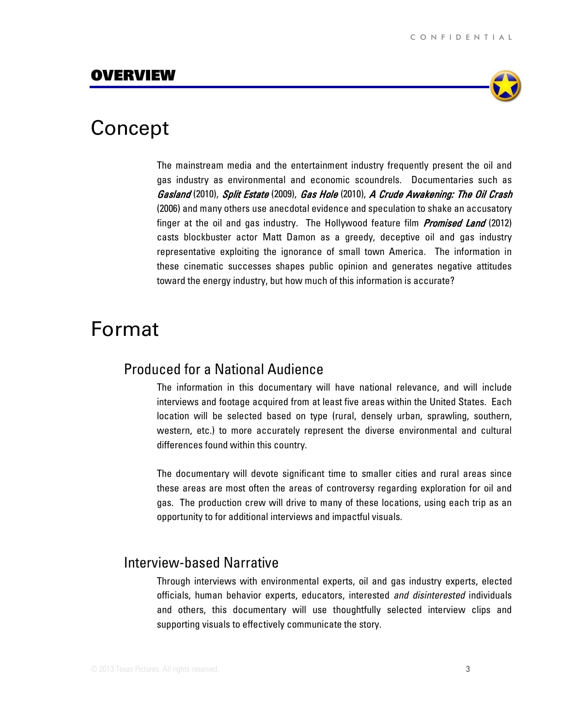

# <span id="page-3-0"></span>Concept

The mainstream media and the entertainment industry frequently present the oil and gas industry as environmental and economic scoundrels. Documentaries such as Gasland (2010), Split Estate (2009), Gas Hole (2010), A Crude Awakening: The Oil Crash (2006) and many others use anecdotal evidence and speculation to shake an accusatory finger at the oil and gas industry. The Hollywood feature film Promised Land (2012) casts blockbuster actor Matt Damon as a greedy, deceptive oil and gas industry representative exploiting the ignorance of small town America. The information in these cinematic successes shapes public opinion and generates negative attitudes toward the energy industry, but how much of this information is accurate?

# Format

## Produced for a National Audience

The information in this documentary will have national relevance, and will include interviews and footage acquired from at least five areas within the United States. Each location will be selected based on type (rural, densely urban, sprawling, southern, western, etc.) to more accurately represent the diverse environmental and cultural differences found within this country.

The documentary will devote significant time to smaller cities and rural areas since these areas are most often the areas of controversy regarding exploration for oil and gas. The production crew will drive to many of these locations, using each trip as an opportunity to for additional interviews and impactful visuals.

## Interview-based Narrative

Through interviews with environmental experts, oil and gas industry experts, elected officials, human behavior experts, educators, interested *and disinterested* individuals and others, this documentary will use thoughtfully selected interview clips and supporting visuals to effectively communicate the story.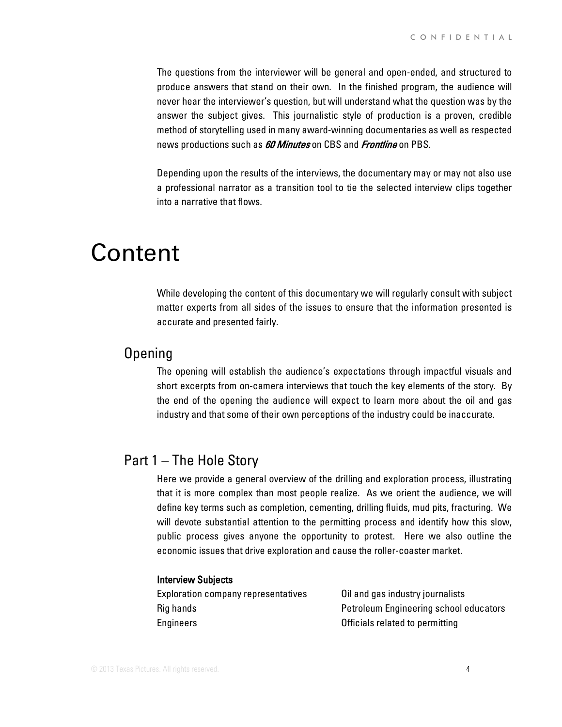The questions from the interviewer will be general and open-ended, and structured to produce answers that stand on their own. In the finished program, the audience will never hear the interviewer's question, but will understand what the question was by the answer the subject gives. This journalistic style of production is a proven, credible method of storytelling used in many award-winning documentaries as well as respected news productions such as *60 Minutes* on CBS and *Frontline* on PBS.

Depending upon the results of the interviews, the documentary may or may not also use a professional narrator as a transition tool to tie the selected interview clips together into a narrative that flows.

# Content

While developing the content of this documentary we will regularly consult with subject matter experts from all sides of the issues to ensure that the information presented is accurate and presented fairly.

## Opening

The opening will establish the audience's expectations through impactful visuals and short excerpts from on-camera interviews that touch the key elements of the story. By the end of the opening the audience will expect to learn more about the oil and gas industry and that some of their own perceptions of the industry could be inaccurate.

# Part 1 – The Hole Story

Here we provide a general overview of the drilling and exploration process, illustrating that it is more complex than most people realize. As we orient the audience, we will define key terms such as completion, cementing, drilling fluids, mud pits, fracturing. We will devote substantial attention to the permitting process and identify how this slow, public process gives anyone the opportunity to protest. Here we also outline the economic issues that drive exploration and cause the roller-coaster market.

#### Interview Subjects

| <b>Exploration company representatives</b> | Oil and gas industry journalists              |
|--------------------------------------------|-----------------------------------------------|
| Rig hands                                  | <b>Petroleum Engineering school educators</b> |
| Engineers                                  | Officials related to permitting               |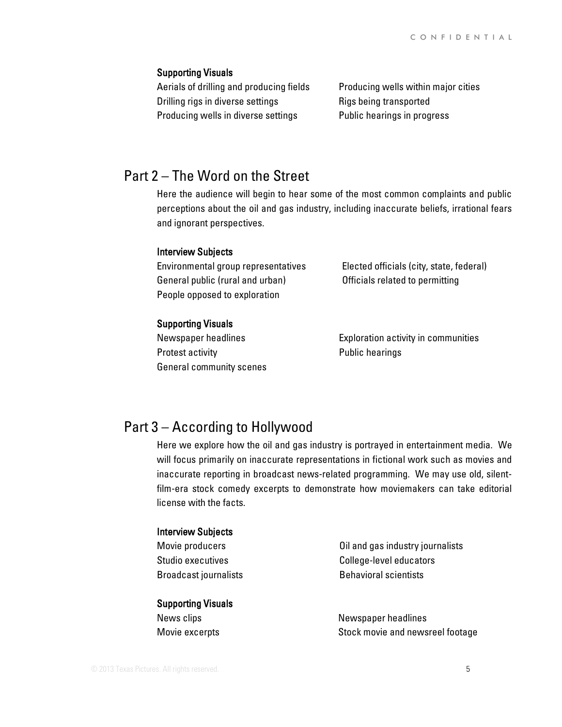#### Supporting Visuals

Aerials of drilling and producing fields Drilling rigs in diverse settings Producing wells in diverse settings

Producing wells within major cities Rigs being transported Public hearings in progress

# Part 2 – The Word on the Street

Here the audience will begin to hear some of the most common complaints and public perceptions about the oil and gas industry, including inaccurate beliefs, irrational fears and ignorant perspectives.

#### Interview Subjects

Environmental group representatives General public (rural and urban) People opposed to exploration

Elected officials (city, state, federal) Officials related to permitting

#### Supporting Visuals

Newspaper headlines Protest activity General community scenes Exploration activity in communities Public hearings

# Part 3 – According to Hollywood

Here we explore how the oil and gas industry is portrayed in entertainment media. We will focus primarily on inaccurate representations in fictional work such as movies and inaccurate reporting in broadcast news-related programming. We may use old, silentfilm-era stock comedy excerpts to demonstrate how moviemakers can take editorial license with the facts.

#### Interview Subjects

Movie producers Studio executives Broadcast journalists

#### Supporting Visuals

News clips Movie excerpts Oil and gas industry journalists College-level educators Behavioral scientists

Newspaper headlines Stock movie and newsreel footage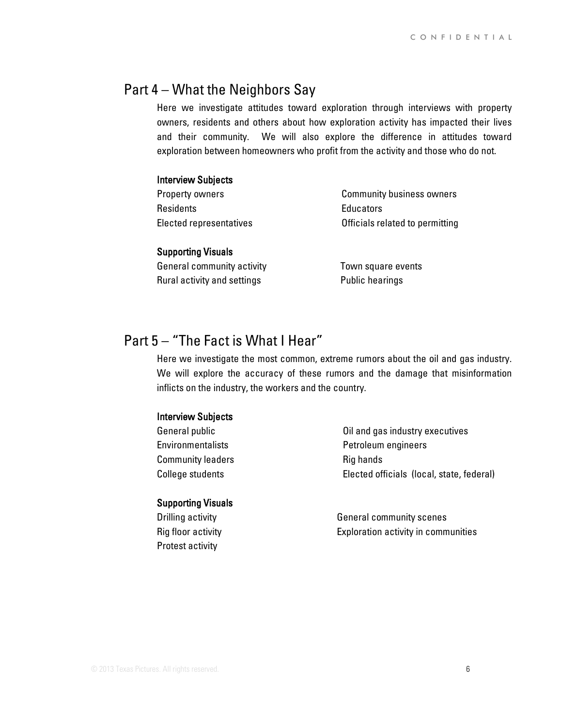## Part 4 – What the Neighbors Say

Here we investigate attitudes toward exploration through interviews with property owners, residents and others about how exploration activity has impacted their lives and their community. We will also explore the difference in attitudes toward exploration between homeowners who profit from the activity and those who do not.

#### Interview Subjects

Property owners **Residents** Elected representatives

Community business owners **Educators** Officials related to permitting

#### Supporting Visuals

General community activity Rural activity and settings

Town square events Public hearings

# Part 5 – "The Fact is What I Hear"

Here we investigate the most common, extreme rumors about the oil and gas industry. We will explore the accuracy of these rumors and the damage that misinformation inflicts on the industry, the workers and the country.

#### Interview Subjects

General public **Environmentalists** Community leaders College students

#### Supporting Visuals

Drilling activity Rig floor activity Protest activity

Oil and gas industry executives Petroleum engineers Rig hands Elected officials (local, state, federal)

General community scenes Exploration activity in communities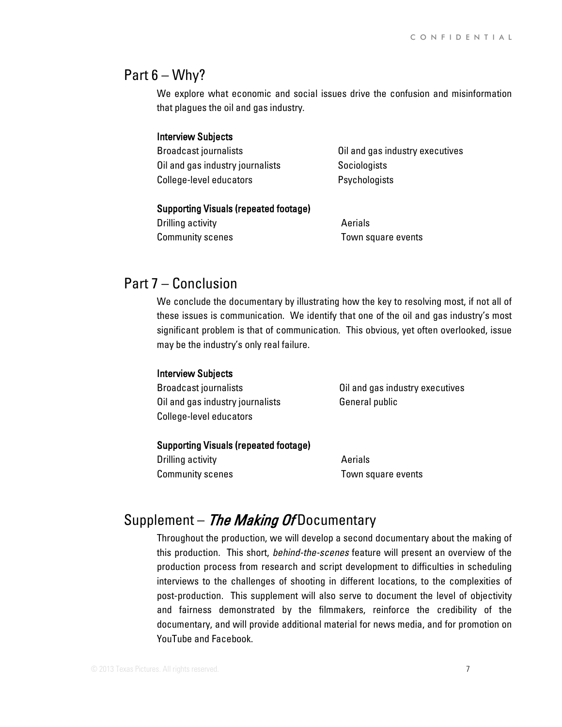### Part  $6 - W$ hy?

We explore what economic and social issues drive the confusion and misinformation that plagues the oil and gas industry.

#### Interview Subjects

Broadcast journalists Oil and gas industry journalists College-level educators

Oil and gas industry executives **Sociologists Psychologists** 

#### Supporting Visuals (repeated footage)

Drilling activity Community scenes Aerials Town square events

## Part 7 – Conclusion

We conclude the documentary by illustrating how the key to resolving most, if not all of these issues is communication. We identify that one of the oil and gas industry's most significant problem is that of communication. This obvious, yet often overlooked, issue may be the industry's only real failure.

#### Interview Subjects

Broadcast journalists Oil and gas industry journalists College-level educators

Oil and gas industry executives General public

#### Supporting Visuals (repeated footage)

Drilling activity Community scenes Aerials Town square events

# Supplement - The Making Of Documentary

Throughout the production, we will develop a second documentary about the making of this production. This short, *behind-the-scenes* feature will present an overview of the production process from research and script development to difficulties in scheduling interviews to the challenges of shooting in different locations, to the complexities of post-production. This supplement will also serve to document the level of objectivity and fairness demonstrated by the filmmakers, reinforce the credibility of the documentary, and will provide additional material for news media, and for promotion on YouTube and Facebook.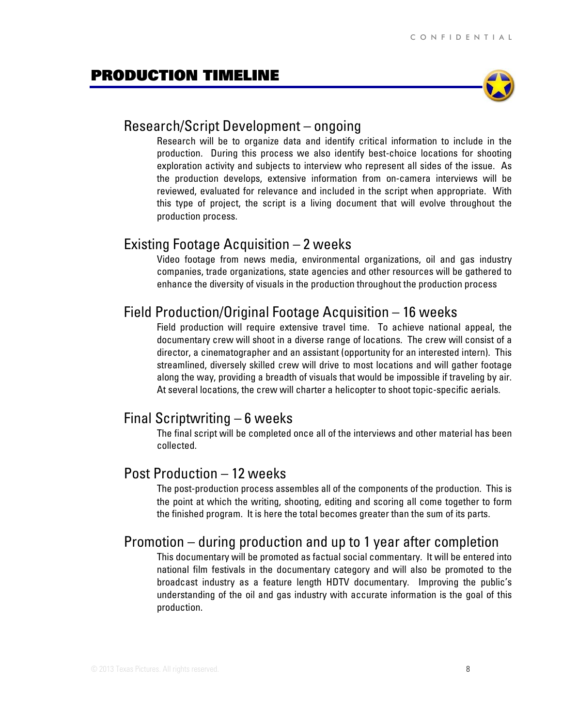### <span id="page-8-0"></span>PRODUCTION TIMELINE



### Research/Script Development – ongoing

Research will be to organize data and identify critical information to include in the production. During this process we also identify best-choice locations for shooting exploration activity and subjects to interview who represent all sides of the issue. As the production develops, extensive information from on-camera interviews will be reviewed, evaluated for relevance and included in the script when appropriate. With this type of project, the script is a living document that will evolve throughout the production process.

## Existing Footage Acquisition – 2 weeks

Video footage from news media, environmental organizations, oil and gas industry companies, trade organizations, state agencies and other resources will be gathered to enhance the diversity of visuals in the production throughout the production process

## Field Production/Original Footage Acquisition – 16 weeks

Field production will require extensive travel time. To achieve national appeal, the documentary crew will shoot in a diverse range of locations. The crew will consist of a director, a cinematographer and an assistant (opportunity for an interested intern). This streamlined, diversely skilled crew will drive to most locations and will gather footage along the way, providing a breadth of visuals that would be impossible if traveling by air. At several locations, the crew will charter a helicopter to shoot topic-specific aerials.

## Final Scriptwriting – 6 weeks

The final script will be completed once all of the interviews and other material has been collected.

# Post Production – 12 weeks

The post-production process assembles all of the components of the production. This is the point at which the writing, shooting, editing and scoring all come together to form the finished program. It is here the total becomes greater than the sum of its parts.

## Promotion – during production and up to 1 year after completion

This documentary will be promoted as factual social commentary. It will be entered into national film festivals in the documentary category and will also be promoted to the broadcast industry as a feature length HDTV documentary. Improving the public's understanding of the oil and gas industry with accurate information is the goal of this production.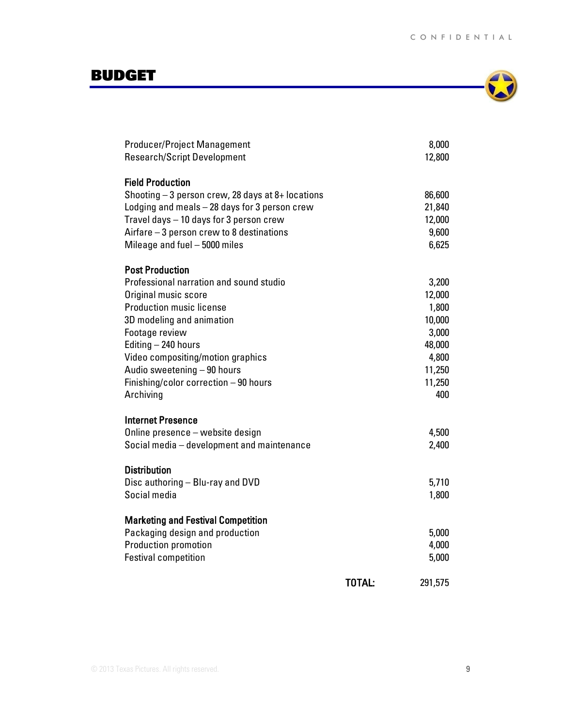# <span id="page-9-0"></span>BUDGET



| Producer/Project Management                        |        | 8,000   |
|----------------------------------------------------|--------|---------|
| <b>Research/Script Development</b>                 |        | 12,800  |
|                                                    |        |         |
| <b>Field Production</b>                            |        |         |
| Shooting $-3$ person crew, 28 days at 8+ locations |        | 86,600  |
| Lodging and meals - 28 days for 3 person crew      |        | 21,840  |
| Travel days - 10 days for 3 person crew            |        | 12,000  |
| Airfare $-3$ person crew to 8 destinations         |        | 9,600   |
| Mileage and fuel - 5000 miles                      |        | 6,625   |
| <b>Post Production</b>                             |        |         |
| Professional narration and sound studio            |        | 3,200   |
| Original music score                               |        | 12,000  |
| <b>Production music license</b>                    |        | 1,800   |
| 3D modeling and animation                          |        | 10,000  |
| Footage review                                     |        | 3,000   |
| Editing - 240 hours                                |        | 48,000  |
| Video compositing/motion graphics                  |        | 4,800   |
| Audio sweetening - 90 hours                        |        | 11,250  |
| Finishing/color correction - 90 hours              |        | 11,250  |
| Archiving                                          |        | 400     |
|                                                    |        |         |
| <b>Internet Presence</b>                           |        |         |
| Online presence - website design                   |        | 4,500   |
| Social media - development and maintenance         |        | 2,400   |
| <b>Distribution</b>                                |        |         |
| Disc authoring - Blu-ray and DVD                   |        | 5,710   |
| Social media                                       |        | 1,800   |
|                                                    |        |         |
| <b>Marketing and Festival Competition</b>          |        |         |
| Packaging design and production                    |        | 5,000   |
| <b>Production promotion</b>                        |        | 4,000   |
| <b>Festival competition</b>                        |        | 5,000   |
|                                                    |        |         |
|                                                    | TOTAL: | 291,575 |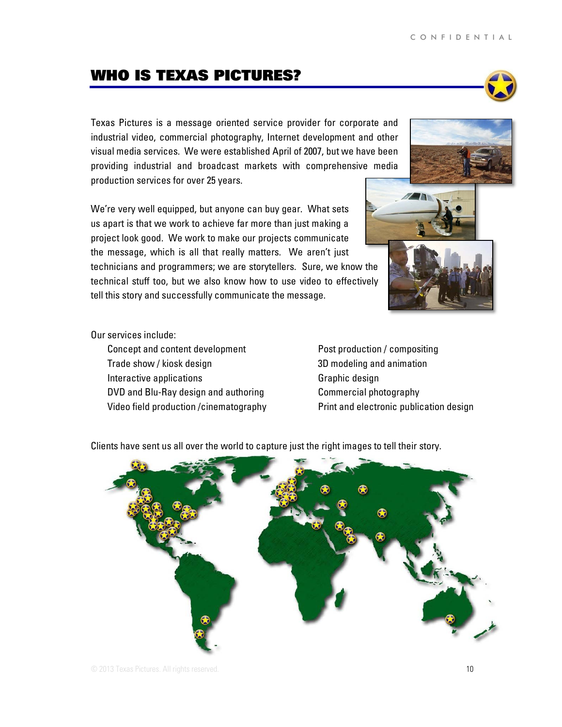# <span id="page-10-0"></span>WHO IS TEXAS PICTURES?

Texas Pictures is a message oriented service provider for corporate and industrial video, commercial photography, Internet development and other visual media services. We were established April of 2007, but we have been providing industrial and broadcast markets with comprehensive media production services for over 25 years.

We're very well equipped, but anyone can buy gear. What sets us apart is that we work to achieve far more than just making a project look good. We work to make our projects communicate the message, which is all that really matters. We aren't just technicians and programmers; we are storytellers. Sure, we know the technical stuff too, but we also know how to use video to effectively tell this story and successfully communicate the message.

#### Our services include:

Concept and content development Trade show / kiosk design Interactive applications DVD and Blu-Ray design and authoring Video field production /cinematography Post production / compositing 3D modeling and animation Graphic design Commercial photography Print and electronic publication design

Clients have sent us all over the world to capture just the right images to tell their story.







<sup>⊕</sup>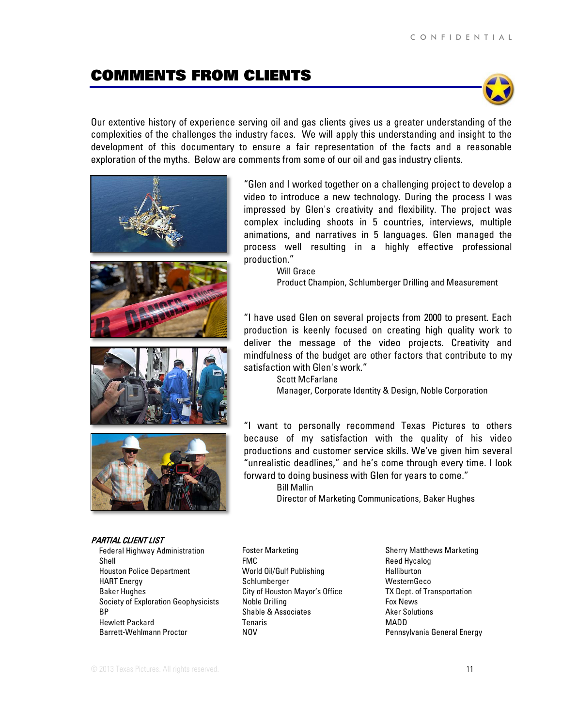# <span id="page-11-0"></span>COMMENTS FROM CLIENTS



Our extentive history of experience serving oil and gas clients gives us a greater understanding of the complexities of the challenges the industry faces. We will apply this understanding and insight to the development of this documentary to ensure a fair representation of the facts and a reasonable exploration of the myths. Below are comments from some of our oil and gas industry clients.









#### PARTIAL CLIENT LIST

Federal Highway Administration Shell Houston Police Department HART Energy Baker Hughes Society of Exploration Geophysicists BP Hewlett Packard Barrett-Wehlmann Proctor

"Glen and I worked together on a challenging project to develop a video to introduce a new technology. During the process I was impressed by Glen's creativity and flexibility. The project was complex including shoots in 5 countries, interviews, multiple animations, and narratives in 5 languages. Glen managed the process well resulting in a highly effective professional production."

Will Grace

Product Champion, Schlumberger Drilling and Measurement

"I have used Glen on several projects from 2000 to present. Each production is keenly focused on creating high quality work to deliver the message of the video projects. Creativity and mindfulness of the budget are other factors that contribute to my satisfaction with Glen's work."

> Scott McFarlane Manager, Corporate Identity & Design, Noble Corporation

"I want to personally recommend Texas Pictures to others because of my satisfaction with the quality of his video productions and customer service skills. We've given him several "unrealistic deadlines," and he's come through every time. I look forward to doing business with Glen for years to come."

Bill Mallin

Director of Marketing Communications, Baker Hughes

Foster Marketing FMC World Oil/Gulf Publishing Schlumberger City of Houston Mayor's Office Noble Drilling Shable & Associates Tenaris NOV

Sherry Matthews Marketing Reed Hycalog Halliburton **WesternGeco** TX Dept. of Transportation Fox News Aker Solutions MADD Pennsylvania General Energy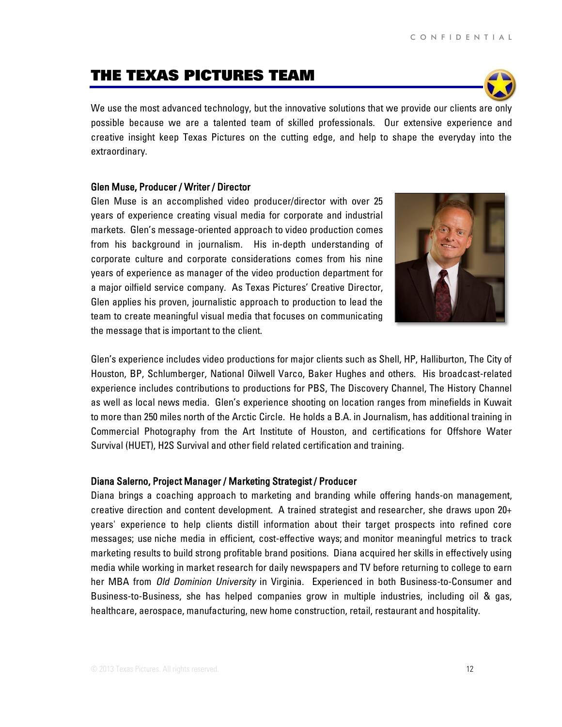# <span id="page-12-0"></span>THE TEXAS PICTURES TEAM

We use the most advanced technology, but the innovative solutions that we provide our clients are only possible because we are a talented team of skilled professionals. Our extensive experience and creative insight keep Texas Pictures on the cutting edge, and help to shape the everyday into the extraordinary.

#### Glen Muse, Producer / Writer / Director

Glen Muse is an accomplished video producer/director with over 25 years of experience creating visual media for corporate and industrial markets. Glen's message-oriented approach to video production comes from his background in journalism. His in-depth understanding of corporate culture and corporate considerations comes from his nine years of experience as manager of the video production department for a major oilfield service company. As Texas Pictures' Creative Director, Glen applies his proven, journalistic approach to production to lead the team to create meaningful visual media that focuses on communicating the message that is important to the client.

Glen's experience includes video productions for major clients such as Shell, HP, Halliburton, The City of Houston, BP, Schlumberger, National Oilwell Varco, Baker Hughes and others. His broadcast-related experience includes contributions to productions for PBS, The Discovery Channel, The History Channel as well as local news media. Glen's experience shooting on location ranges from minefields in Kuwait to more than 250 miles north of the Arctic Circle. He holds a B.A. in Journalism, has additional training in Commercial Photography from the Art Institute of Houston, and certifications for Offshore Water Survival (HUET), H2S Survival and other field related certification and training.

#### Diana Salerno, Project Manager / Marketing Strategist / Producer

Diana brings a coaching approach to marketing and branding while offering hands-on management, creative direction and content development. A trained strategist and researcher, she draws upon 20+ years' experience to help clients distill information about their target prospects into refined core messages; use niche media in efficient, cost-effective ways; and monitor meaningful metrics to track marketing results to build strong profitable brand positions. Diana acquired her skills in effectively using media while working in market research for daily newspapers and TV before returning to college to earn her MBA from *Old Dominion University* in Virginia. Experienced in both Business-to-Consumer and Business-to-Business, she has helped companies grow in multiple industries, including oil & gas, healthcare, aerospace, manufacturing, new home construction, retail, restaurant and hospitality.



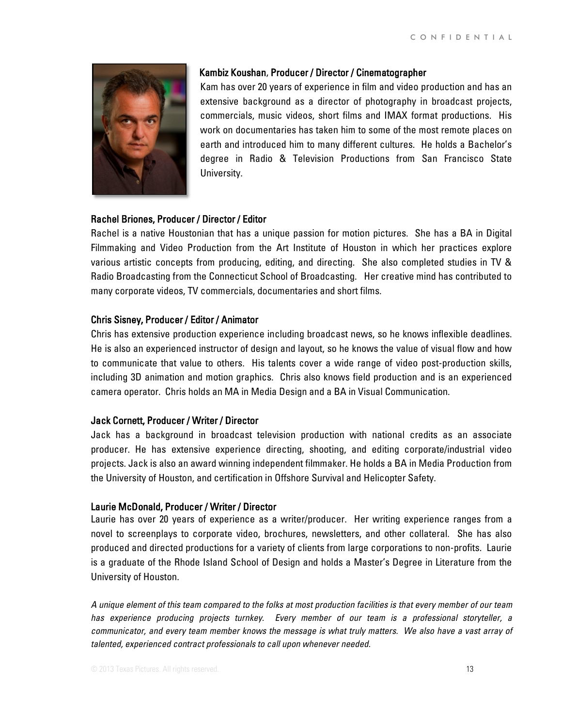

#### Kambiz Koushan, Producer / Director / Cinematographer

Kam has over 20 years of experience in film and video production and has an extensive background as a director of photography in broadcast projects, commercials, music videos, short films and IMAX format productions. His work on documentaries has taken him to some of the most remote places on earth and introduced him to many different cultures. He holds a Bachelor's degree in Radio & Television Productions from San Francisco State University.

#### Rachel Briones, Producer / Director / Editor

Rachel is a native Houstonian that has a unique passion for motion pictures. She has a BA in Digital Filmmaking and Video Production from the Art Institute of Houston in which her practices explore various artistic concepts from producing, editing, and directing. She also completed studies in TV & Radio Broadcasting from the Connecticut School of Broadcasting. Her creative mind has contributed to many corporate videos, TV commercials, documentaries and short films.

#### Chris Sisney, Producer / Editor / Animator

Chris has extensive production experience including broadcast news, so he knows inflexible deadlines. He is also an experienced instructor of design and layout, so he knows the value of visual flow and how to communicate that value to others. His talents cover a wide range of video post-production skills, including 3D animation and motion graphics. Chris also knows field production and is an experienced camera operator. Chris holds an MA in Media Design and a BA in Visual Communication.

#### Jack Cornett, Producer / Writer / Director

Jack has a background in broadcast television production with national credits as an associate producer. He has extensive experience directing, shooting, and editing corporate/industrial video projects. Jack is also an award winning independent filmmaker. He holds a BA in Media Production from the University of Houston, and certification in Offshore Survival and Helicopter Safety.

#### Laurie McDonald, Producer / Writer / Director

Laurie has over 20 years of experience as a writer/producer. Her writing experience ranges from a novel to screenplays to corporate video, brochures, newsletters, and other collateral. She has also produced and directed productions for a variety of clients from large corporations to non-profits. Laurie is a graduate of the Rhode Island School of Design and holds a Master's Degree in Literature from the University of Houston.

*A unique element of this team compared to the folks at most production facilities is that every member of our team has experience producing projects turnkey. Every member of our team is a professional storyteller, a communicator, and every team member knows the message is what truly matters. We also have a vast array of talented, experienced contract professionals to call upon whenever needed.*